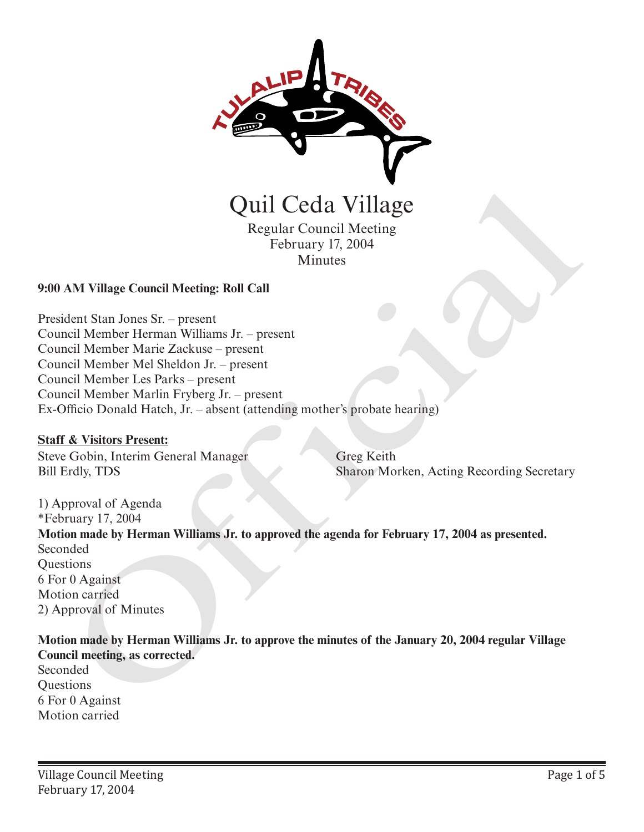

Regular Council Meeting February 17, 2004 Minutes

### **9:00 AM Village Council Meeting: Roll Call**

President Stan Jones Sr. – present Council Member Herman Williams Jr. – present Council Member Marie Zackuse – present Council Member Mel Sheldon Jr. – present Council Member Les Parks – present Council Member Marlin Fryberg Jr. – present Ex-Officio Donald Hatch, Jr. – absent (attending mother's probate hearing)

#### **Staff & Visitors Present:**

Steve Gobin, Interim General Manager Bill Erdly, TDS

Greg Keith Sharon Morken, Acting Recording Secretary

1) Approval of Agenda \*February 17, 2004 **Motion made by Herman Williams Jr. to approved the agenda for February 17, 2004 as presented.** Seconded Questions 6 For 0 Against Motion carried 2) Approval of Minutes Quil Ceda Village<br>
Regular Council Meeting<br>
Reputar Council Meeting<br>
February 17, 2004<br>
Minutes<br>
AM Village Council Meeting: Roll Call<br>
dent Stan Jones Sr. – present<br>
recit method Meeting: Zackuse – present<br>
recit method M

**Motion made by Herman Williams Jr. to approve the minutes of the January 20, 2004 regular Village Council meeting, as corrected.** Seconded **Questions** 6 For 0 Against

Motion carried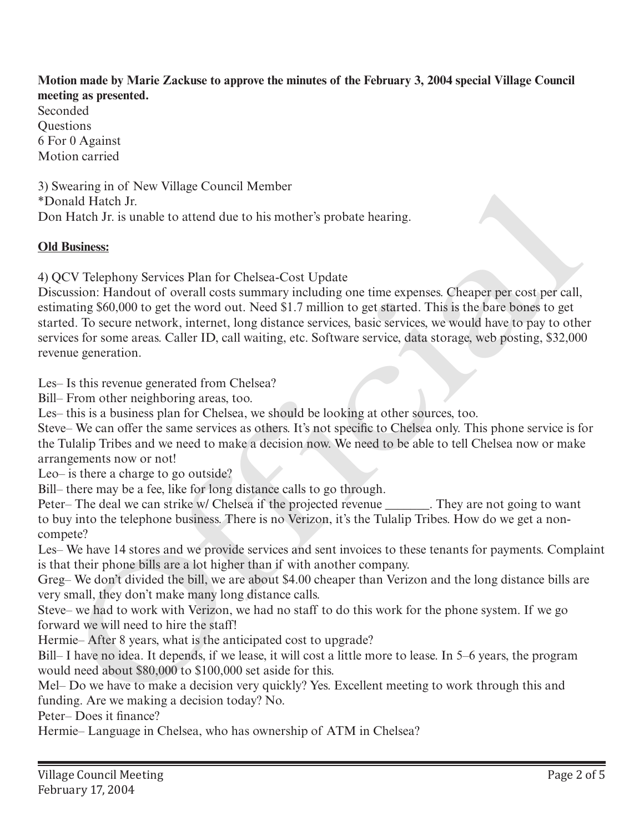**Motion made by Marie Zackuse to approve the minutes of the February 3, 2004 special Village Council meeting as presented.**

Seconded **Ouestions** 6 For 0 Against Motion carried

3) Swearing in of New Village Council Member \*Donald Hatch Jr. Don Hatch Jr. is unable to attend due to his mother's probate hearing.

### **Old Business:**

4) QCV Telephony Services Plan for Chelsea-Cost Update

Discussion: Handout of overall costs summary including one time expenses. Cheaper per cost per call, estimating \$60,000 to get the word out. Need \$1.7 million to get started. This is the bare bones to get started. To secure network, internet, long distance services, basic services, we would have to pay to other services for some areas. Caller ID, call waiting, etc. Software service, data storage, web posting, \$32,000 revenue generation. warming in Strew Village Council Webner<br>
Hald Hatch Jr.<br>
Hatch Jr. is unable to attend due to his mother's probate hearing.<br>
Hatch Jr. is unable to attend due to his mother's probate hearing.<br>
Electrocy Telethory Services

Les– Is this revenue generated from Chelsea?

Bill– From other neighboring areas, too.

Les– this is a business plan for Chelsea, we should be looking at other sources, too.

Steve– We can offer the same services as others. It's not specific to Chelsea only. This phone service is for the Tulalip Tribes and we need to make a decision now. We need to be able to tell Chelsea now or make arrangements now or not!

Leo– is there a charge to go outside?

Bill– there may be a fee, like for long distance calls to go through.

Peter– The deal we can strike w/ Chelsea if the projected revenue \_\_\_\_\_\_\_. They are not going to want to buy into the telephone business. There is no Verizon, it's the Tulalip Tribes. How do we get a noncompete?

Les– We have 14 stores and we provide services and sent invoices to these tenants for payments. Complaint is that their phone bills are a lot higher than if with another company.

Greg– We don't divided the bill, we are about \$4.00 cheaper than Verizon and the long distance bills are very small, they don't make many long distance calls.

Steve– we had to work with Verizon, we had no staff to do this work for the phone system. If we go forward we will need to hire the staff!

Hermie– After 8 years, what is the anticipated cost to upgrade?

Bill– I have no idea. It depends, if we lease, it will cost a little more to lease. In 5–6 years, the program would need about \$80,000 to \$100,000 set aside for this.

Mel– Do we have to make a decision very quickly? Yes. Excellent meeting to work through this and funding. Are we making a decision today? No.

Peter– Does it finance?

Hermie– Language in Chelsea, who has ownership of ATM in Chelsea?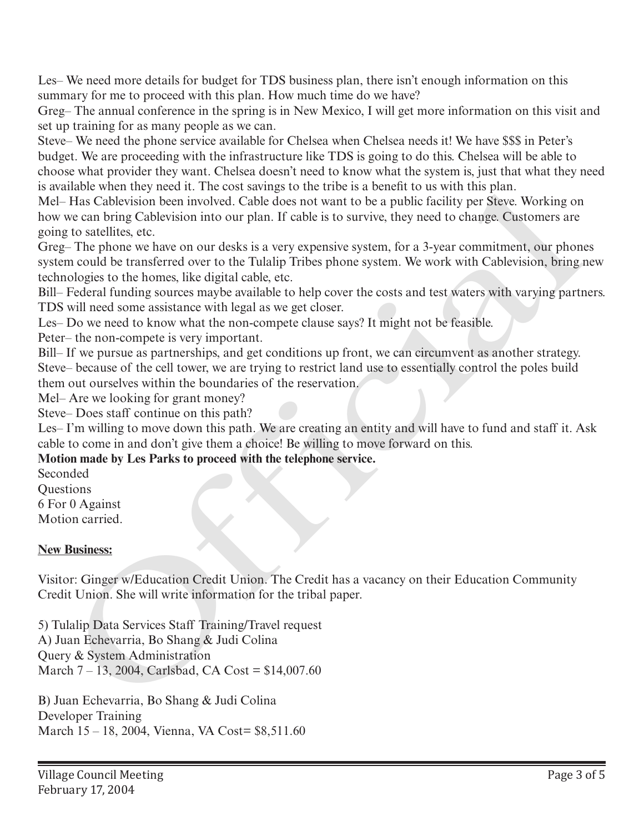Les– We need more details for budget for TDS business plan, there isn't enough information on this summary for me to proceed with this plan. How much time do we have?

Greg– The annual conference in the spring is in New Mexico, I will get more information on this visit and set up training for as many people as we can.

Steve– We need the phone service available for Chelsea when Chelsea needs it! We have \$\$\$ in Peter's budget. We are proceeding with the infrastructure like TDS is going to do this. Chelsea will be able to choose what provider they want. Chelsea doesn't need to know what the system is, just that what they need is available when they need it. The cost savings to the tribe is a benefit to us with this plan.

Mel– Has Cablevision been involved. Cable does not want to be a public facility per Steve. Working on how we can bring Cablevision into our plan. If cable is to survive, they need to change. Customers are going to satellites, etc.

Greg– The phone we have on our desks is a very expensive system, for a 3-year commitment, our phones system could be transferred over to the Tulalip Tribes phone system. We work with Cablevision, bring new technologies to the homes, like digital cable, etc. analow was they are at the cost savings to the tries is a nearent to us with in span.<br>Has Cablevision been involved. Cable does not want to be a public facility per Sleve. Working on<br>two can bring cablevision into our plan

Bill– Federal funding sources maybe available to help cover the costs and test waters with varying partners. TDS will need some assistance with legal as we get closer.

Les– Do we need to know what the non-compete clause says? It might not be feasible.

Peter– the non-compete is very important.

Bill– If we pursue as partnerships, and get conditions up front, we can circumvent as another strategy. Steve– because of the cell tower, we are trying to restrict land use to essentially control the poles build them out ourselves within the boundaries of the reservation.

Mel– Are we looking for grant money?

Steve– Does staff continue on this path?

Les– I'm willing to move down this path. We are creating an entity and will have to fund and staff it. Ask cable to come in and don't give them a choice! Be willing to move forward on this.

### **Motion made by Les Parks to proceed with the telephone service.**

Seconded **Ouestions** 6 For 0 Against Motion carried.

### **New Business:**

Visitor: Ginger w/Education Credit Union. The Credit has a vacancy on their Education Community Credit Union. She will write information for the tribal paper.

5) Tulalip Data Services Staff Training/Travel request A) Juan Echevarria, Bo Shang & Judi Colina Query & System Administration March 7 – 13, 2004, Carlsbad, CA Cost = \$14,007.60

B) Juan Echevarria, Bo Shang & Judi Colina Developer Training March 15 – 18, 2004, Vienna, VA Cost= \$8,511.60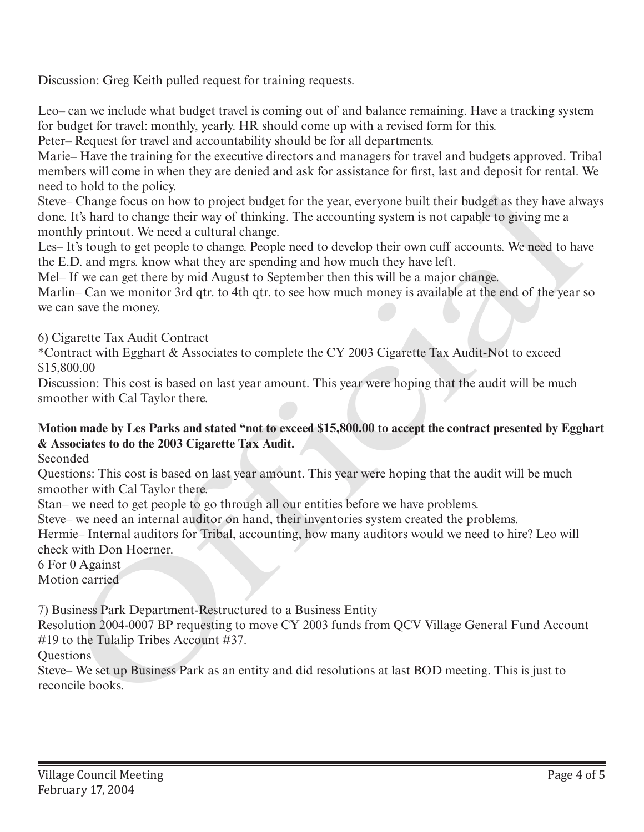Discussion: Greg Keith pulled request for training requests.

Leo– can we include what budget travel is coming out of and balance remaining. Have a tracking system for budget for travel: monthly, yearly. HR should come up with a revised form for this.

Peter– Request for travel and accountability should be for all departments.

Marie– Have the training for the executive directors and managers for travel and budgets approved. Tribal members will come in when they are denied and ask for assistance for first, last and deposit for rental. We need to hold to the policy.

Steve– Change focus on how to project budget for the year, everyone built their budget as they have always done. It's hard to change their way of thinking. The accounting system is not capable to giving me a monthly printout. We need a cultural change. need to hot to the policy.<br>Sixee-Change focus on how to project budget for the year, everyone built their budget as they have able<br>sheet-Change focus on how to project budget. The accounting system is not capable to giving

Les– It's tough to get people to change. People need to develop their own cuff accounts. We need to have the E.D. and mgrs. know what they are spending and how much they have left.

Mel– If we can get there by mid August to September then this will be a major change.

Marlin– Can we monitor 3rd qtr. to 4th qtr. to see how much money is available at the end of the year so we can save the money.

6) Cigarette Tax Audit Contract

\*Contract with Egghart & Associates to complete the CY 2003 Cigarette Tax Audit-Not to exceed \$15,800.00

Discussion: This cost is based on last year amount. This year were hoping that the audit will be much smoother with Cal Taylor there.

# **Motion made by Les Parks and stated "not to exceed \$15,800.00 to accept the contract presented by Egghart & Associates to do the 2003 Cigarette Tax Audit.**

Seconded

Questions: This cost is based on last year amount. This year were hoping that the audit will be much smoother with Cal Taylor there.

Stan– we need to get people to go through all our entities before we have problems.

Steve– we need an internal auditor on hand, their inventories system created the problems.

Hermie– Internal auditors for Tribal, accounting, how many auditors would we need to hire? Leo will check with Don Hoerner.

6 For 0 Against

Motion carried

7) Business Park Department-Restructured to a Business Entity

Resolution 2004-0007 BP requesting to move CY 2003 funds from QCV Village General Fund Account #19 to the Tulalip Tribes Account #37.

**Ouestions** 

Steve– We set up Business Park as an entity and did resolutions at last BOD meeting. This is just to